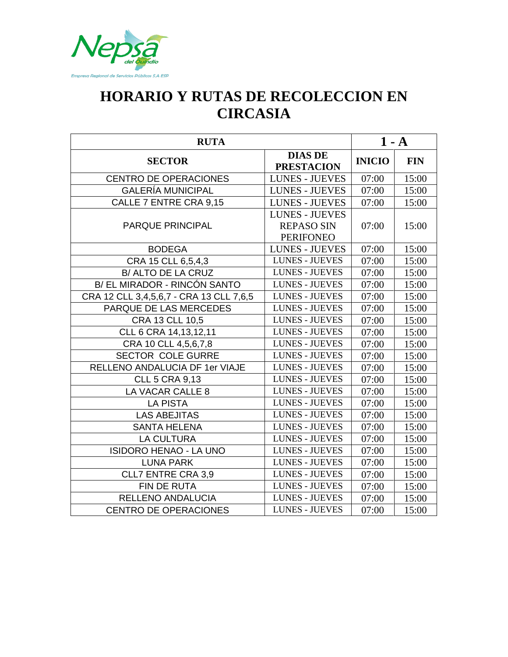

## **HORARIO Y RUTAS DE RECOLECCION EN CIRCASIA**

| <b>RUTA</b>                             |                                                                |               | $1 - A$    |
|-----------------------------------------|----------------------------------------------------------------|---------------|------------|
| <b>SECTOR</b>                           | <b>DIAS DE</b><br><b>PRESTACION</b>                            | <b>INICIO</b> | <b>FIN</b> |
| <b>CENTRO DE OPERACIONES</b>            | <b>LUNES - JUEVES</b>                                          | 07:00         | 15:00      |
| <b>GALERÍA MUNICIPAL</b>                | <b>LUNES - JUEVES</b>                                          | 07:00         | 15:00      |
| CALLE 7 ENTRE CRA 9,15                  | <b>LUNES - JUEVES</b>                                          | 07:00         | 15:00      |
| <b>PARQUE PRINCIPAL</b>                 | <b>LUNES - JUEVES</b><br><b>REPASO SIN</b><br><b>PERIFONEO</b> | 07:00         | 15:00      |
| <b>BODEGA</b>                           | <b>LUNES - JUEVES</b>                                          | 07:00         | 15:00      |
| CRA 15 CLL 6,5,4,3                      | <b>LUNES - JUEVES</b>                                          | 07:00         | 15:00      |
| B/ ALTO DE LA CRUZ                      | <b>LUNES - JUEVES</b>                                          | 07:00         | 15:00      |
| B/ EL MIRADOR - RINCÓN SANTO            | <b>LUNES - JUEVES</b>                                          | 07:00         | 15:00      |
| CRA 12 CLL 3,4,5,6,7 - CRA 13 CLL 7,6,5 | <b>LUNES - JUEVES</b>                                          | 07:00         | 15:00      |
| PARQUE DE LAS MERCEDES                  | <b>LUNES - JUEVES</b>                                          | 07:00         | 15:00      |
| CRA 13 CLL 10,5                         | <b>LUNES - JUEVES</b>                                          | 07:00         | 15:00      |
| CLL 6 CRA 14, 13, 12, 11                | <b>LUNES - JUEVES</b>                                          | 07:00         | 15:00      |
| CRA 10 CLL 4,5,6,7,8                    | <b>LUNES - JUEVES</b>                                          | 07:00         | 15:00      |
| <b>SECTOR COLE GURRE</b>                | <b>LUNES - JUEVES</b>                                          | 07:00         | 15:00      |
| RELLENO ANDALUCIA DF 1er VIAJE          | <b>LUNES - JUEVES</b>                                          | 07:00         | 15:00      |
| <b>CLL 5 CRA 9,13</b>                   | <b>LUNES - JUEVES</b>                                          | 07:00         | 15:00      |
| LA VACAR CALLE 8                        | <b>LUNES - JUEVES</b>                                          | 07:00         | 15:00      |
| <b>LA PISTA</b>                         | <b>LUNES - JUEVES</b>                                          | 07:00         | 15:00      |
| <b>LAS ABEJITAS</b>                     | <b>LUNES - JUEVES</b>                                          | 07:00         | 15:00      |
| <b>SANTA HELENA</b>                     | <b>LUNES - JUEVES</b>                                          | 07:00         | 15:00      |
| <b>LA CULTURA</b>                       | <b>LUNES - JUEVES</b>                                          | 07:00         | 15:00      |
| <b>ISIDORO HENAO - LA UNO</b>           | <b>LUNES - JUEVES</b>                                          | 07:00         | 15:00      |
| <b>LUNA PARK</b>                        | <b>LUNES - JUEVES</b>                                          | 07:00         | 15:00      |
| <b>CLL7 ENTRE CRA 3,9</b>               | <b>LUNES - JUEVES</b>                                          | 07:00         | 15:00      |
| FIN DE RUTA                             | <b>LUNES - JUEVES</b>                                          | 07:00         | 15:00      |
| RELLENO ANDALUCIA                       | <b>LUNES - JUEVES</b>                                          | 07:00         | 15:00      |
| <b>CENTRO DE OPERACIONES</b>            | <b>LUNES - JUEVES</b>                                          | 07:00         | 15:00      |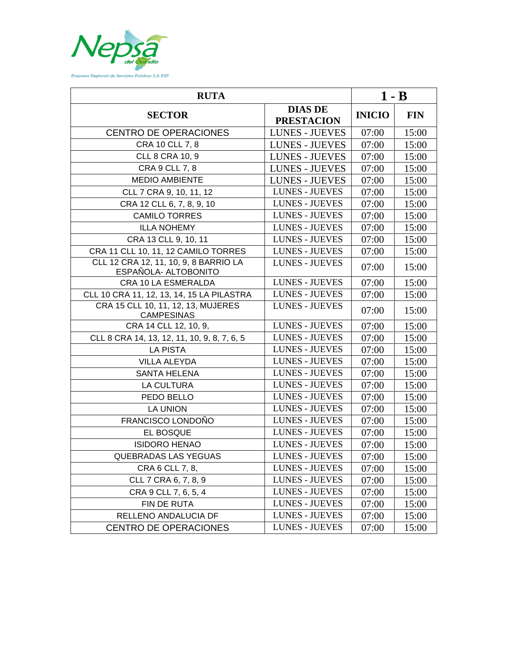

| <b>RUTA</b>                                                   |                                     |               | $1 - B$    |  |
|---------------------------------------------------------------|-------------------------------------|---------------|------------|--|
| <b>SECTOR</b>                                                 | <b>DIAS DE</b><br><b>PRESTACION</b> | <b>INICIO</b> | <b>FIN</b> |  |
| <b>CENTRO DE OPERACIONES</b>                                  | <b>LUNES - JUEVES</b>               | 07:00         | 15:00      |  |
| CRA 10 CLL 7, 8                                               | <b>LUNES - JUEVES</b>               | 07:00         | 15:00      |  |
| CLL 8 CRA 10, 9                                               | <b>LUNES - JUEVES</b>               | 07:00         | 15:00      |  |
| CRA 9 CLL 7, 8                                                | <b>LUNES - JUEVES</b>               | 07:00         | 15:00      |  |
| <b>MEDIO AMBIENTE</b>                                         | <b>LUNES - JUEVES</b>               | 07:00         | 15:00      |  |
| CLL 7 CRA 9, 10, 11, 12                                       | <b>LUNES - JUEVES</b>               | 07:00         | 15:00      |  |
| CRA 12 CLL 6, 7, 8, 9, 10                                     | <b>LUNES - JUEVES</b>               | 07:00         | 15:00      |  |
| <b>CAMILO TORRES</b>                                          | <b>LUNES - JUEVES</b>               | 07:00         | 15:00      |  |
| <b>ILLA NOHEMY</b>                                            | <b>LUNES - JUEVES</b>               | 07:00         | 15:00      |  |
| CRA 13 CLL 9, 10, 11                                          | <b>LUNES - JUEVES</b>               | 07:00         | 15:00      |  |
| CRA 11 CLL 10, 11, 12 CAMILO TORRES                           | <b>LUNES - JUEVES</b>               | 07:00         | 15:00      |  |
| CLL 12 CRA 12, 11, 10, 9, 8 BARRIO LA<br>ESPAÑOLA- ALTOBONITO | <b>LUNES - JUEVES</b>               | 07:00         | 15:00      |  |
| CRA 10 LA ESMERALDA                                           | <b>LUNES - JUEVES</b>               | 07:00         | 15:00      |  |
| CLL 10 CRA 11, 12, 13, 14, 15 LA PILASTRA                     | <b>LUNES - JUEVES</b>               | 07:00         | 15:00      |  |
| CRA 15 CLL 10, 11, 12, 13, MUJERES<br><b>CAMPESINAS</b>       | <b>LUNES - JUEVES</b>               | 07:00         | 15:00      |  |
| CRA 14 CLL 12, 10, 9,                                         | <b>LUNES - JUEVES</b>               | 07:00         | 15:00      |  |
| CLL 8 CRA 14, 13, 12, 11, 10, 9, 8, 7, 6, 5                   | <b>LUNES - JUEVES</b>               | 07:00         | 15:00      |  |
| <b>LA PISTA</b>                                               | <b>LUNES - JUEVES</b>               | 07:00         | 15:00      |  |
| <b>VILLA ALEYDA</b>                                           | <b>LUNES - JUEVES</b>               | 07:00         | 15:00      |  |
| <b>SANTA HELENA</b>                                           | <b>LUNES - JUEVES</b>               | 07:00         | 15:00      |  |
| <b>LA CULTURA</b>                                             | <b>LUNES - JUEVES</b>               | 07:00         | 15:00      |  |
| PEDO BELLO                                                    | <b>LUNES - JUEVES</b>               | 07:00         | 15:00      |  |
| <b>LA UNION</b>                                               | <b>LUNES - JUEVES</b>               | 07:00         | 15:00      |  |
| FRANCISCO LONDOÑO                                             | <b>LUNES - JUEVES</b>               | 07:00         | 15:00      |  |
| EL BOSQUE                                                     | <b>LUNES - JUEVES</b>               | 07:00         | 15:00      |  |
| <b>ISIDORO HENAO</b>                                          | <b>LUNES - JUEVES</b>               | 07:00         | 15:00      |  |
| QUEBRADAS LAS YEGUAS                                          | LUNES - JUEVES                      | 07:00         | 15:00      |  |
| CRA 6 CLL 7, 8,                                               | <b>LUNES - JUEVES</b>               | 07:00         | 15:00      |  |
| CLL 7 CRA 6, 7, 8, 9                                          | <b>LUNES - JUEVES</b>               | 07:00         | 15:00      |  |
| CRA 9 CLL 7, 6, 5, 4                                          | <b>LUNES - JUEVES</b>               | 07:00         | 15:00      |  |
| FIN DE RUTA                                                   | <b>LUNES - JUEVES</b>               | 07:00         | 15:00      |  |
| RELLENO ANDALUCIA DF                                          | <b>LUNES - JUEVES</b>               | 07:00         | 15:00      |  |
| <b>CENTRO DE OPERACIONES</b>                                  | <b>LUNES - JUEVES</b>               | 07:00         | 15:00      |  |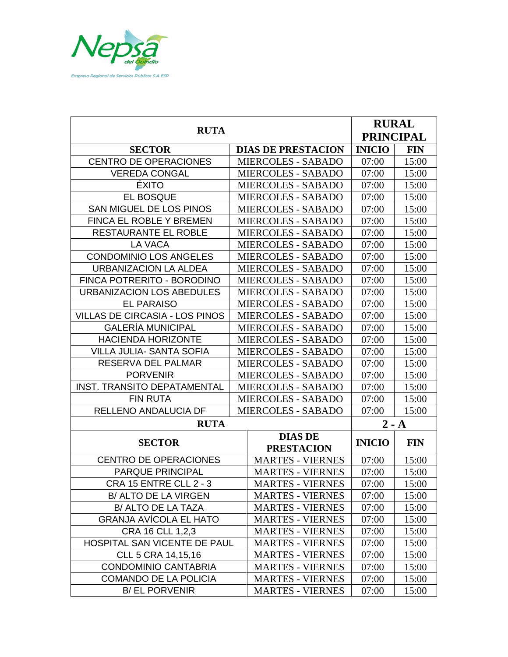

|                                       |  |                           |                  | <b>RURAL</b> |
|---------------------------------------|--|---------------------------|------------------|--------------|
| <b>RUTA</b>                           |  |                           | <b>PRINCIPAL</b> |              |
| <b>SECTOR</b>                         |  | <b>DIAS DE PRESTACION</b> | <b>INICIO</b>    | <b>FIN</b>   |
| <b>CENTRO DE OPERACIONES</b>          |  | <b>MIERCOLES - SABADO</b> | 07:00            | 15:00        |
| <b>VEREDA CONGAL</b>                  |  | <b>MIERCOLES - SABADO</b> | 07:00            | 15:00        |
| <b>ÉXITO</b>                          |  | <b>MIERCOLES - SABADO</b> | 07:00            | 15:00        |
| <b>EL BOSQUE</b>                      |  | <b>MIERCOLES - SABADO</b> | 07:00            | 15:00        |
| SAN MIGUEL DE LOS PINOS               |  | <b>MIERCOLES - SABADO</b> | 07:00            | 15:00        |
| <b>FINCA EL ROBLE Y BREMEN</b>        |  | <b>MIERCOLES - SABADO</b> | 07:00            | 15:00        |
| RESTAURANTE EL ROBLE                  |  | <b>MIERCOLES - SABADO</b> | 07:00            | 15:00        |
| <b>LA VACA</b>                        |  | <b>MIERCOLES - SABADO</b> | 07:00            | 15:00        |
| <b>CONDOMINIO LOS ANGELES</b>         |  | <b>MIERCOLES - SABADO</b> | 07:00            | 15:00        |
| <b>URBANIZACION LA ALDEA</b>          |  | <b>MIERCOLES - SABADO</b> | 07:00            | 15:00        |
| FINCA POTRERITO - BORODINO            |  | <b>MIERCOLES - SABADO</b> | 07:00            | 15:00        |
| URBANIZACION LOS ABEDULES             |  | <b>MIERCOLES - SABADO</b> | 07:00            | 15:00        |
| <b>EL PARAISO</b>                     |  | <b>MIERCOLES - SABADO</b> | 07:00            | 15:00        |
| <b>VILLAS DE CIRCASIA - LOS PINOS</b> |  | <b>MIERCOLES - SABADO</b> | 07:00            | 15:00        |
| <b>GALERÍA MUNICIPAL</b>              |  | <b>MIERCOLES - SABADO</b> | 07:00            | 15:00        |
| <b>HACIENDA HORIZONTE</b>             |  | <b>MIERCOLES - SABADO</b> | 07:00            | 15:00        |
| <b>VILLA JULIA- SANTA SOFIA</b>       |  | <b>MIERCOLES - SABADO</b> | 07:00            | 15:00        |
| RESERVA DEL PALMAR                    |  | <b>MIERCOLES - SABADO</b> | 07:00            | 15:00        |
| <b>PORVENIR</b>                       |  | <b>MIERCOLES - SABADO</b> | 07:00            | 15:00        |
| <b>INST. TRANSITO DEPATAMENTAL</b>    |  | <b>MIERCOLES - SABADO</b> | 07:00            | 15:00        |
| <b>FIN RUTA</b>                       |  | <b>MIERCOLES - SABADO</b> | 07:00            | 15:00        |
| RELLENO ANDALUCIA DF                  |  | <b>MIERCOLES - SABADO</b> | 07:00            | 15:00        |
| <b>RUTA</b>                           |  |                           | $2 - A$          |              |
| <b>SECTOR</b>                         |  | <b>DIAS DE</b>            | <b>INICIO</b>    | <b>FIN</b>   |
|                                       |  | <b>PRESTACION</b>         |                  |              |
| <b>CENTRO DE OPERACIONES</b>          |  | <b>MARTES - VIERNES</b>   | 07:00            | 15:00        |
| <b>PARQUE PRINCIPAL</b>               |  | <b>MARTES - VIERNES</b>   | 07:00            | 15:00        |
| <b>CRA 15 ENTRE CLL 2 - 3</b>         |  | <b>MARTES - VIERNES</b>   | 07:00            | 15:00        |
| B/ ALTO DE LA VIRGEN                  |  | <b>MARTES - VIERNES</b>   | 07:00            | 15:00        |
| B/ ALTO DE LA TAZA                    |  | <b>MARTES - VIERNES</b>   | 07:00            | 15:00        |
| <b>GRANJA AVICOLA EL HATO</b>         |  | <b>MARTES - VIERNES</b>   | 07:00            | 15:00        |
| CRA 16 CLL 1,2,3                      |  | <b>MARTES - VIERNES</b>   | 07:00            | 15:00        |
| HOSPITAL SAN VICENTE DE PAUL          |  | <b>MARTES - VIERNES</b>   | 07:00            | 15:00        |
| CLL 5 CRA 14,15,16                    |  | <b>MARTES - VIERNES</b>   | 07:00            | 15:00        |
| <b>CONDOMINIO CANTABRIA</b>           |  | <b>MARTES - VIERNES</b>   | 07:00            | 15:00        |
| <b>COMANDO DE LA POLICIA</b>          |  | <b>MARTES - VIERNES</b>   | 07:00            | 15:00        |
| <b>B/ EL PORVENIR</b>                 |  | <b>MARTES - VIERNES</b>   | 07:00            | 15:00        |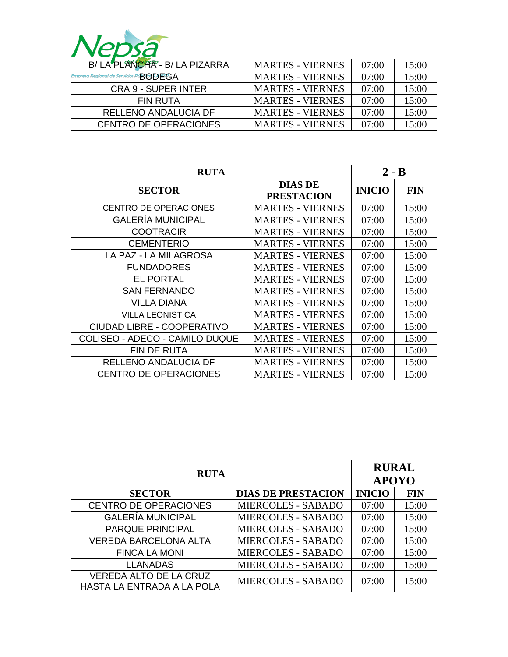

| B/ LA PLANCHA - B/ LA PIZARRA              | <b>MARTES - VIERNES</b> | 07:00 | 15:00 |
|--------------------------------------------|-------------------------|-------|-------|
| Empresa Regional de Servicios Pu<br>BODEGA | <b>MARTES - VIERNES</b> | 07:00 | 15:00 |
| CRA 9 - SUPER INTER                        | <b>MARTES - VIERNES</b> | 07:00 | 15:00 |
| FIN RUTA                                   | <b>MARTES - VIERNES</b> | 07:00 | 15:00 |
| RELLENO ANDALUCIA DF                       | <b>MARTES - VIERNES</b> | 07:00 | 15:00 |
| <b>CENTRO DE OPERACIONES</b>               | <b>MARTES - VIERNES</b> | 07:00 | 15:00 |

| <b>RUTA</b>                           |                                     |               | $2 - B$    |
|---------------------------------------|-------------------------------------|---------------|------------|
| <b>SECTOR</b>                         | <b>DIAS DE</b><br><b>PRESTACION</b> | <b>INICIO</b> | <b>FIN</b> |
| <b>CENTRO DE OPERACIONES</b>          | <b>MARTES - VIERNES</b>             | 07:00         | 15:00      |
| <b>GALERÍA MUNICIPAL</b>              | <b>MARTES - VIERNES</b>             | 07:00         | 15:00      |
| <b>COOTRACIR</b>                      | <b>MARTES - VIERNES</b>             | 07:00         | 15:00      |
| <b>CEMENTERIO</b>                     | <b>MARTES - VIERNES</b>             | 07:00         | 15:00      |
| LA PAZ - LA MILAGROSA                 | <b>MARTES - VIERNES</b>             | 07:00         | 15:00      |
| <b>FUNDADORES</b>                     | <b>MARTES - VIERNES</b>             | 07:00         | 15:00      |
| <b>EL PORTAL</b>                      | <b>MARTES - VIERNES</b>             | 07:00         | 15:00      |
| <b>SAN FERNANDO</b>                   | <b>MARTES - VIERNES</b>             | 07:00         | 15:00      |
| VILLA DIANA                           | <b>MARTES - VIERNES</b>             | 07:00         | 15:00      |
| <b>VILLA LEONISTICA</b>               | <b>MARTES - VIERNES</b>             | 07:00         | 15:00      |
| CIUDAD LIBRE - COOPERATIVO            | <b>MARTES - VIERNES</b>             | 07:00         | 15:00      |
| <b>COLISEO - ADECO - CAMILO DUQUE</b> | <b>MARTES - VIERNES</b>             | 07:00         | 15:00      |
| FIN DE RUTA                           | <b>MARTES - VIERNES</b>             | 07:00         | 15:00      |
| RELLENO ANDALUCIA DF                  | <b>MARTES - VIERNES</b>             | 07:00         | 15:00      |
| <b>CENTRO DE OPERACIONES</b>          | <b>MARTES - VIERNES</b>             | 07:00         | 15:00      |

| <b>RUTA</b>                                          |                           | <b>RURAL</b><br><b>APOYO</b> |            |
|------------------------------------------------------|---------------------------|------------------------------|------------|
| <b>SECTOR</b>                                        | <b>DIAS DE PRESTACION</b> | <b>INICIO</b>                | <b>FIN</b> |
| <b>CENTRO DE OPERACIONES</b>                         | <b>MIERCOLES - SABADO</b> | 07:00                        | 15:00      |
| <b>GALERÍA MUNICIPAL</b>                             | <b>MIERCOLES - SABADO</b> | 07:00                        | 15:00      |
| <b>PARQUE PRINCIPAL</b>                              | <b>MIERCOLES - SABADO</b> | 07:00                        | 15:00      |
| <b>VEREDA BARCELONA ALTA</b>                         | <b>MIERCOLES - SABADO</b> | 07:00                        | 15:00      |
| <b>FINCA LA MONI</b>                                 | <b>MIERCOLES - SABADO</b> | 07:00                        | 15:00      |
| <b>LLANADAS</b>                                      | <b>MIERCOLES - SABADO</b> | 07:00                        | 15:00      |
| VEREDA ALTO DE LA CRUZ<br>HASTA LA ENTRADA A LA POLA | <b>MIERCOLES - SABADO</b> | 07:00                        | 15:00      |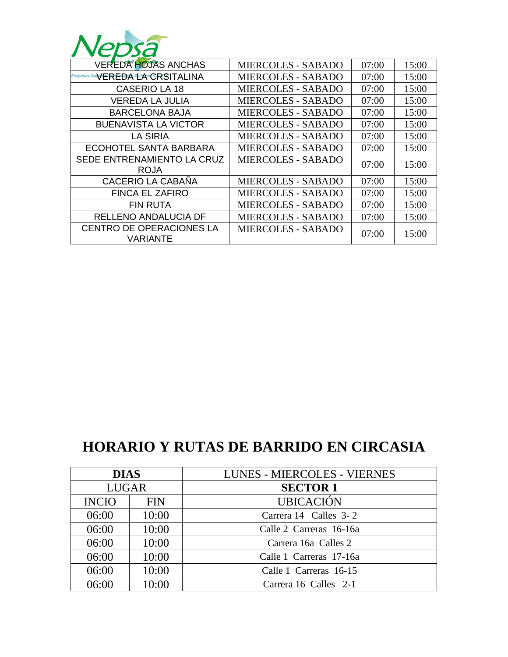

| <b>VEREDA HOJAS ANCHAS</b>       | <b>MIERCOLES - SABADO</b> | 07:00 | 15:00 |
|----------------------------------|---------------------------|-------|-------|
| Empresa ReSVEREDA ELA CRSITALINA | <b>MIERCOLES - SABADO</b> | 07:00 | 15:00 |
| <b>CASERIO LA 18</b>             | <b>MIERCOLES - SABADO</b> | 07:00 | 15:00 |
| <b>VEREDA LA JULIA</b>           | <b>MIERCOLES - SABADO</b> | 07:00 | 15:00 |
| <b>BARCELONA BAJA</b>            | <b>MIERCOLES - SABADO</b> | 07:00 | 15:00 |
| <b>BUENAVISTA LA VICTOR</b>      | <b>MIERCOLES - SABADO</b> | 07:00 | 15:00 |
| LA SIRIA                         | <b>MIERCOLES - SABADO</b> | 07:00 | 15:00 |
| ECOHOTEL SANTA BARBARA           | <b>MIERCOLES - SABADO</b> | 07:00 | 15:00 |
| SEDE ENTRENAMIENTO LA CRUZ       | <b>MIERCOLES - SABADO</b> | 07:00 | 15:00 |
| <b>ROJA</b>                      |                           |       |       |
| <b>CACERIO LA CABAÑA</b>         | <b>MIERCOLES - SABADO</b> | 07:00 | 15:00 |
| <b>FINCA EL ZAFIRO</b>           | <b>MIERCOLES - SABADO</b> | 07:00 | 15:00 |
| <b>FIN RUTA</b>                  | <b>MIERCOLES - SABADO</b> | 07:00 | 15:00 |
| RELLENO ANDALUCIA DF             | <b>MIERCOLES - SABADO</b> | 07:00 | 15:00 |
| <b>CENTRO DE OPERACIONES LA</b>  | <b>MIERCOLES - SABADO</b> | 07:00 | 15:00 |
| VARIANTE                         |                           |       |       |

## **HORARIO Y RUTAS DE BARRIDO EN CIRCASIA**

| <b>DIAS</b>  |            | <b>LUNES - MIERCOLES - VIERNES</b> |
|--------------|------------|------------------------------------|
| <b>LUGAR</b> |            | <b>SECTOR 1</b>                    |
| <b>INCIO</b> | <b>FIN</b> | <b>UBICACIÓN</b>                   |
| 06:00        | 10:00      | Carrera 14 Calles 3-2              |
| 06:00        | 10:00      | Calle 2 Carreras 16-16a            |
| 06:00        | 10:00      | Carrera 16a Calles 2               |
| 06:00        | 10:00      | Calle 1 Carreras 17-16a            |
| 06:00        | 10:00      | Calle 1 Carreras 16-15             |
| 06:00        | 10:00      | Carrera 16 Calles 2-1              |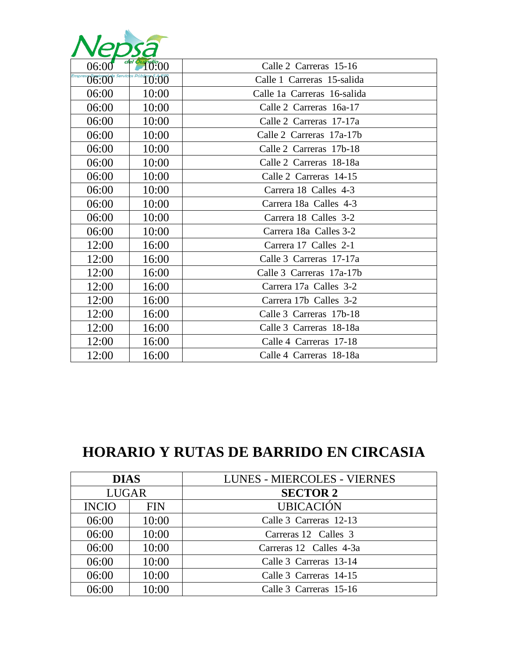| 06:00 | 10:00 | Calle 2 Carreras 15-16      |
|-------|-------|-----------------------------|
| 06.00 | 10:00 | Calle 1 Carreras 15-salida  |
| 06:00 | 10:00 | Calle 1a Carreras 16-salida |
| 06:00 | 10:00 | Calle 2 Carreras 16a-17     |
| 06:00 | 10:00 | Calle 2 Carreras 17-17a     |
| 06:00 | 10:00 | Calle 2 Carreras 17a-17b    |
| 06:00 | 10:00 | Calle 2 Carreras 17b-18     |
| 06:00 | 10:00 | Calle 2 Carreras 18-18a     |
| 06:00 | 10:00 | Calle 2 Carreras 14-15      |
| 06:00 | 10:00 | Carrera 18 Calles 4-3       |
| 06:00 | 10:00 | Carrera 18a Calles 4-3      |
| 06:00 | 10:00 | Carrera 18 Calles 3-2       |
| 06:00 | 10:00 | Carrera 18a Calles 3-2      |
| 12:00 | 16:00 | Carrera 17 Calles 2-1       |
| 12:00 | 16:00 | Calle 3 Carreras 17-17a     |
| 12:00 | 16:00 | Calle 3 Carreras 17a-17b    |
| 12:00 | 16:00 | Carrera 17a Calles 3-2      |
| 12:00 | 16:00 | Carrera 17b Calles 3-2      |
| 12:00 | 16:00 | Calle 3 Carreras 17b-18     |
| 12:00 | 16:00 | Calle 3 Carreras 18-18a     |
| 12:00 | 16:00 | Calle 4 Carreras 17-18      |
| 12:00 | 16:00 | Calle 4 Carreras 18-18a     |

## **HORARIO Y RUTAS DE BARRIDO EN CIRCASIA**

| <b>DIAS</b>  |            | <b>LUNES - MIERCOLES - VIERNES</b> |
|--------------|------------|------------------------------------|
| <b>LUGAR</b> |            | <b>SECTOR 2</b>                    |
| <b>INCIO</b> | <b>FIN</b> | <b>UBICACIÓN</b>                   |
| 06:00        | 10:00      | Calle 3 Carreras 12-13             |
| 06:00        | 10:00      | Carreras 12 Calles 3               |
| 06:00        | 10:00      | Carreras 12 Calles 4-3a            |
| 06:00        | 10:00      | Calle 3 Carreras 13-14             |
| 06:00        | 10:00      | Calle 3 Carreras 14-15             |
| 06:00        | 10:00      | Calle 3 Carreras 15-16             |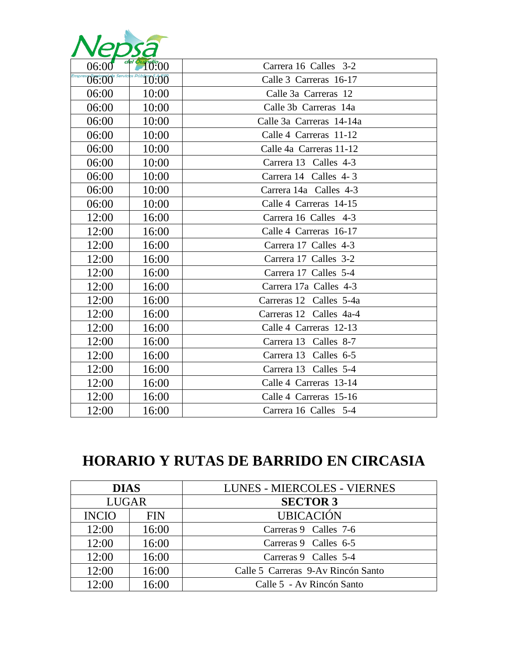| <b>PD</b> |       |                          |
|-----------|-------|--------------------------|
| 06:00     | 10:00 | Carrera 16 Calles 3-2    |
| 06:00     | 10:00 | Calle 3 Carreras 16-17   |
| 06:00     | 10:00 | Calle 3a Carreras 12     |
| 06:00     | 10:00 | Calle 3b Carreras 14a    |
| 06:00     | 10:00 | Calle 3a Carreras 14-14a |
| 06:00     | 10:00 | Calle 4 Carreras 11-12   |
| 06:00     | 10:00 | Calle 4a Carreras 11-12  |
| 06:00     | 10:00 | Carrera 13 Calles 4-3    |
| 06:00     | 10:00 | Carrera 14 Calles 4-3    |
| 06:00     | 10:00 | Carrera 14a Calles 4-3   |
| 06:00     | 10:00 | Calle 4 Carreras 14-15   |
| 12:00     | 16:00 | Carrera 16 Calles 4-3    |
| 12:00     | 16:00 | Calle 4 Carreras 16-17   |
| 12:00     | 16:00 | Carrera 17 Calles 4-3    |
| 12:00     | 16:00 | Carrera 17 Calles 3-2    |
| 12:00     | 16:00 | Carrera 17 Calles 5-4    |
| 12:00     | 16:00 | Carrera 17a Calles 4-3   |
| 12:00     | 16:00 | Carreras 12 Calles 5-4a  |
| 12:00     | 16:00 | Carreras 12 Calles 4a-4  |
| 12:00     | 16:00 | Calle 4 Carreras 12-13   |
| 12:00     | 16:00 | Carrera 13 Calles 8-7    |
| 12:00     | 16:00 | Carrera 13 Calles 6-5    |
| 12:00     | 16:00 | Carrera 13 Calles 5-4    |
| 12:00     | 16:00 | Calle 4 Carreras 13-14   |
| 12:00     | 16:00 | Calle 4 Carreras 15-16   |
| 12:00     | 16:00 | Carrera 16 Calles 5-4    |

A.

# **HORARIO Y RUTAS DE BARRIDO EN CIRCASIA**

| <b>DIAS</b>  |            | <b>LUNES - MIERCOLES - VIERNES</b> |
|--------------|------------|------------------------------------|
| <b>LUGAR</b> |            | <b>SECTOR 3</b>                    |
| <b>INCIO</b> | <b>FIN</b> | <b>UBICACIÓN</b>                   |
| 12:00        | 16:00      | Carreras 9 Calles 7-6              |
| 12:00        | 16:00      | Carreras 9 Calles 6-5              |
| 12:00        | 16:00      | Carreras 9 Calles 5-4              |
| 12:00        | 16:00      | Calle 5 Carreras 9-Av Rincón Santo |
| 12:00        | 16:00      | Calle 5 - Av Rincón Santo          |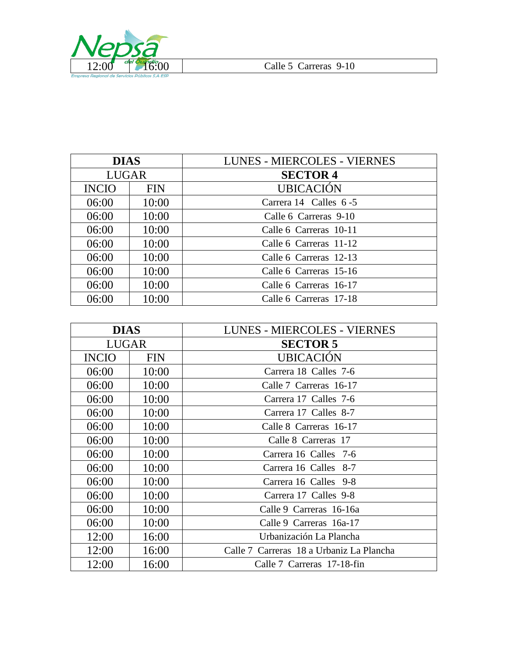

| <b>DIAS</b>  |            | <b>LUNES - MIERCOLES - VIERNES</b> |  |
|--------------|------------|------------------------------------|--|
| <b>LUGAR</b> |            | <b>SECTOR 4</b>                    |  |
| <b>INCIO</b> | <b>FIN</b> | <b>UBICACIÓN</b>                   |  |
| 06:00        | 10:00      | Carrera 14 Calles 6-5              |  |
| 06:00        | 10:00      | Calle 6 Carreras 9-10              |  |
| 06:00        | 10:00      | Calle 6 Carreras 10-11             |  |
| 06:00        | 10:00      | Calle 6 Carreras 11-12             |  |
| 06:00        | 10:00      | Calle 6 Carreras 12-13             |  |
| 06:00        | 10:00      | Calle 6 Carreras 15-16             |  |
| 06:00        | 10:00      | Calle 6 Carreras 16-17             |  |
| 06:00        | 10:00      | Calle 6 Carreras 17-18             |  |

| <b>DIAS</b>  |            | <b>LUNES - MIERCOLES - VIERNES</b>       |
|--------------|------------|------------------------------------------|
| <b>LUGAR</b> |            | <b>SECTOR 5</b>                          |
| <b>INCIO</b> | <b>FIN</b> | <b>UBICACIÓN</b>                         |
| 06:00        | 10:00      | Carrera 18 Calles 7-6                    |
| 06:00        | 10:00      | Calle 7 Carreras 16-17                   |
| 06:00        | 10:00      | Carrera 17 Calles 7-6                    |
| 06:00        | 10:00      | Carrera 17 Calles 8-7                    |
| 06:00        | 10:00      | Calle 8 Carreras 16-17                   |
| 06:00        | 10:00      | Calle 8 Carreras 17                      |
| 06:00        | 10:00      | Carrera 16 Calles 7-6                    |
| 06:00        | 10:00      | Carrera 16 Calles 8-7                    |
| 06:00        | 10:00      | Carrera 16 Calles 9-8                    |
| 06:00        | 10:00      | Carrera 17 Calles 9-8                    |
| 06:00        | 10:00      | Calle 9 Carreras 16-16a                  |
| 06:00        | 10:00      | Calle 9 Carreras 16a-17                  |
| 12:00        | 16:00      | Urbanización La Plancha                  |
| 12:00        | 16:00      | Calle 7 Carreras 18 a Urbaniz La Plancha |
| 12:00        | 16:00      | Calle 7 Carreras 17-18-fin               |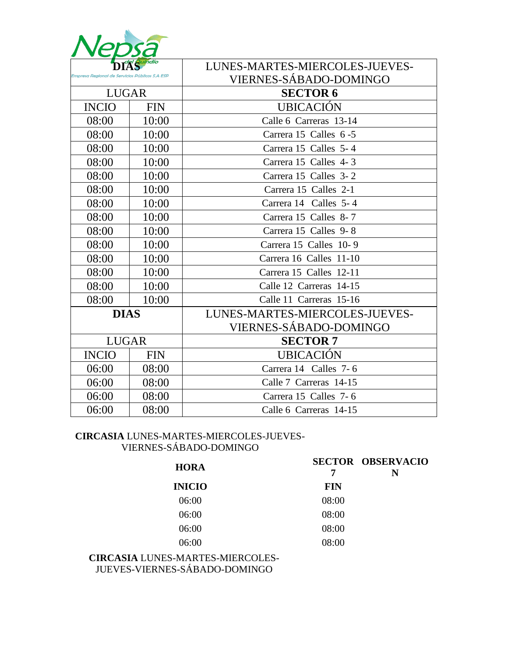|                                                |            | LUNES-MARTES-MIERCOLES-JUEVES- |  |
|------------------------------------------------|------------|--------------------------------|--|
| Impresa Realonal de Servicios Públicos S.A ESP |            | <b>VIERNES-SÁBADO-DOMINGO</b>  |  |
| <b>LUGAR</b>                                   |            | <b>SECTOR 6</b>                |  |
| <b>INCIO</b>                                   | <b>FIN</b> | <b>UBICACIÓN</b>               |  |
| 08:00                                          | 10:00      | Calle 6 Carreras 13-14         |  |
| 08:00                                          | 10:00      | Carrera 15 Calles 6-5          |  |
| 08:00                                          | 10:00      | Carrera 15 Calles 5-4          |  |
| 08:00                                          | 10:00      | Carrera 15 Calles 4-3          |  |
| 08:00                                          | 10:00      | Carrera 15 Calles 3-2          |  |
| 08:00                                          | 10:00      | Carrera 15 Calles 2-1          |  |
| 08:00                                          | 10:00      | Carrera 14 Calles 5-4          |  |
| 08:00                                          | 10:00      | Carrera 15 Calles 8-7          |  |
| 08:00                                          | 10:00      | Carrera 15 Calles 9-8          |  |
| 08:00                                          | 10:00      | Carrera 15 Calles 10-9         |  |
| 08:00                                          | 10:00      | Carrera 16 Calles 11-10        |  |
| 08:00                                          | 10:00      | Carrera 15 Calles 12-11        |  |
| 08:00                                          | 10:00      | Calle 12 Carreras 14-15        |  |
| 08:00                                          | 10:00      | Calle 11 Carreras 15-16        |  |
| <b>DIAS</b>                                    |            | LUNES-MARTES-MIERCOLES-JUEVES- |  |
|                                                |            | <b>VIERNES-SÁBADO-DOMINGO</b>  |  |
| <b>LUGAR</b>                                   |            | <b>SECTOR 7</b>                |  |
| <b>INCIO</b>                                   | <b>FIN</b> | <b>UBICACIÓN</b>               |  |
| 06:00                                          | 08:00      | Carrera 14 Calles 7-6          |  |
| 06:00                                          | 08:00      | Calle 7 Carreras 14-15         |  |
| 06:00                                          | 08:00      | Carrera 15 Calles 7-6          |  |
| 06:00                                          | 08:00      | Calle 6 Carreras 14-15         |  |

#### **CIRCASIA** LUNES-MARTES-MIERCOLES-JUEVES-VIERNES-SÁBADO-DOMINGO

| 7          | <b>SECTOR OBSERVACIO</b><br>N |
|------------|-------------------------------|
| <b>FIN</b> |                               |
| 08:00      |                               |
| 08:00      |                               |
| 08:00      |                               |
| 08:00      |                               |
|            |                               |

**CIRCASIA** LUNES-MARTES-MIERCOLES-JUEVES-VIERNES-SÁBADO-DOMINGO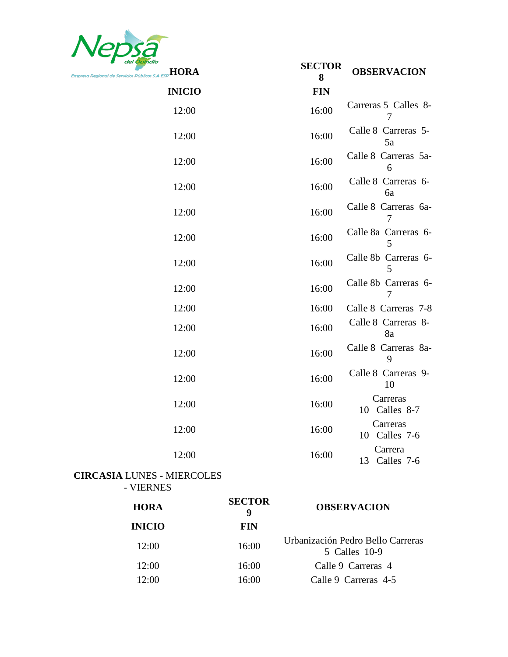

| <b>HORA</b>   | <b>SECTOR</b><br>8 | <b>OBSERVACION</b>          |
|---------------|--------------------|-----------------------------|
| <b>INICIO</b> | <b>FIN</b>         |                             |
| 12:00         | 16:00              | Carreras 5 Calles 8-<br>7   |
| 12:00         | 16:00              | Calle 8 Carreras 5-<br>5a   |
| 12:00         | 16:00              | Calle 8 Carreras 5a-<br>6   |
| 12:00         | 16:00              | Calle 8 Carreras 6-<br>6a   |
| 12:00         | 16:00              | Calle 8 Carreras 6a-        |
| 12:00         | 16:00              | Calle 8a Carreras 6-<br>5   |
| 12:00         | 16:00              | Calle 8b Carreras 6-<br>5   |
| 12:00         | 16:00              | Calle 8b Carreras 6-<br>7   |
| 12:00         | 16:00              | Calle 8 Carreras 7-8        |
| 12:00         | 16:00              | Calle 8 Carreras 8-<br>8a   |
| 12:00         | 16:00              | Calle 8 Carreras 8a-<br>9   |
| 12:00         | 16:00              | Calle 8 Carreras 9-<br>10   |
| 12:00         | 16:00              | Carreras<br>10 Calles 8-7   |
| 12:00         | 16:00              | Carreras<br>10 Calles 7-6   |
| 12:00         | 16:00              | Carrera<br>13<br>Calles 7-6 |

### **CIRCASIA** LUNES - MIERCOLES - VIERNES

| <b>HORA</b>   | <b>SECTOR</b><br>9 | <b>OBSERVACION</b>                                 |
|---------------|--------------------|----------------------------------------------------|
| <b>INICIO</b> | <b>FIN</b>         |                                                    |
| 12:00         | 16:00              | Urbanización Pedro Bello Carreras<br>5 Calles 10-9 |
| 12:00         | 16:00              | Calle 9 Carreras 4                                 |
| 12:00         | 16:00              | Calle 9 Carreras 4-5                               |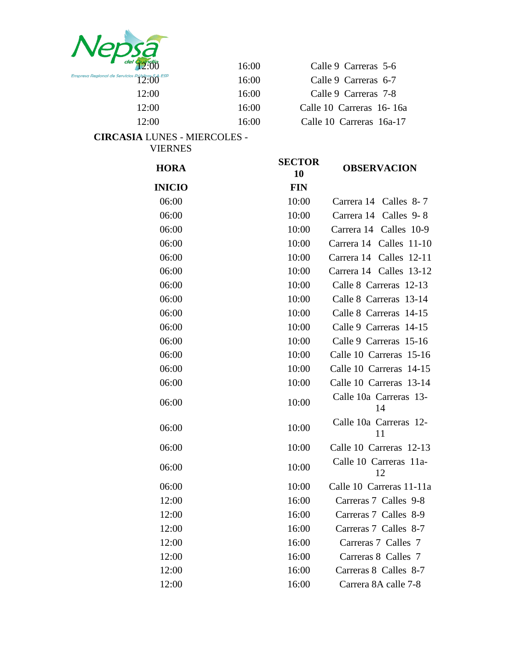

| $\frac{d}{d}$ del $\frac{q}{12:00}$         | 16:00 | Calle 9 Carreras 5-6    |
|---------------------------------------------|-------|-------------------------|
| $\frac{1}{2}$ de Servicios Públicos S.A ESP | 16:00 | Calle 9 Carreras 6-7    |
| 12:00                                       | 16:00 | Calle 9 Carreras 7-8    |
| 12:00                                       | 16:00 | Calle 10 Carreras 16-1  |
| 12:00                                       | 16:00 | Calle 10 Carreras 16a-1 |
|                                             |       |                         |

**CIRCASIA** LUNES - MIERCOLES - VIERNES

| 12:00                                          | 16:00 |                     | Calle 10 Carreras 16-16a |
|------------------------------------------------|-------|---------------------|--------------------------|
| 12:00                                          | 16:00 |                     | Calle 10 Carreras 16a-17 |
| <b>A LUNES - MIERCOLES -</b><br><b>VIERNES</b> |       |                     |                          |
| <b>HORA</b>                                    |       | <b>SECTOR</b><br>10 | <b>OBSERVACION</b>       |
| <b>INICIO</b>                                  |       | <b>FIN</b>          |                          |
| 06:00                                          |       | 10:00               | Carrera 14 Calles 8-7    |
| 06:00                                          |       | 10:00               | Carrera 14 Calles 9-8    |
| 06:00                                          |       | 10:00               | Carrera 14 Calles 10-    |
| 06:00                                          |       | 10:00               | Carrera 14 Calles 11-1   |
| 06:00                                          |       | 10:00               | Carrera 14 Calles 12-1   |
| 06:00                                          |       | 10:00               | Carrera 14 Calles 13-1   |
| 06:00                                          |       | 10:00               | Calle 8 Carreras 12-13   |

| <b>HORA</b>   | SECIUR<br>10 | <b>OBSERVACION</b>           |
|---------------|--------------|------------------------------|
| <b>INICIO</b> | <b>FIN</b>   |                              |
| 06:00         | 10:00        | Carrera 14 Calles 8-7        |
| 06:00         | 10:00        | Calles 9-8<br>Carrera 14     |
| 06:00         | 10:00        | Carrera 14 Calles 10-9       |
| 06:00         | 10:00        | Carrera 14 Calles 11-10      |
| 06:00         | 10:00        | Carrera 14 Calles 12-11      |
| 06:00         | 10:00        | Carrera 14 Calles 13-12      |
| 06:00         | 10:00        | Calle 8 Carreras 12-13       |
| 06:00         | 10:00        | Calle 8 Carreras 13-14       |
| 06:00         | 10:00        | Calle 8 Carreras 14-15       |
| 06:00         | 10:00        | Calle 9 Carreras 14-15       |
| 06:00         | 10:00        | Calle 9 Carreras 15-16       |
| 06:00         | 10:00        | Calle 10 Carreras 15-16      |
| 06:00         | 10:00        | Calle 10 Carreras 14-15      |
| 06:00         | 10:00        | Calle 10 Carreras 13-14      |
| 06:00         | 10:00        | Calle 10a Carreras 13-<br>14 |
| 06:00         | 10:00        | Calle 10a Carreras 12-<br>11 |
| 06:00         | 10:00        | Calle 10 Carreras 12-13      |
| 06:00         | 10:00        | Calle 10 Carreras 11a-<br>12 |
| 06:00         | 10:00        | Calle 10 Carreras 11-11a     |
| 12:00         | 16:00        | Carreras 7 Calles 9-8        |
| 12:00         | 16:00        | Carreras 7 Calles 8-9        |
| 12:00         | 16:00        | Carreras 7 Calles 8-7        |
| 12:00         | 16:00        | Carreras 7 Calles 7          |
| 12:00         | 16:00        | Carreras 8 Calles 7          |
| 12:00         | 16:00        | Carreras 8 Calles 8-7        |
| 12:00         | 16:00        | Carrera 8A calle 7-8         |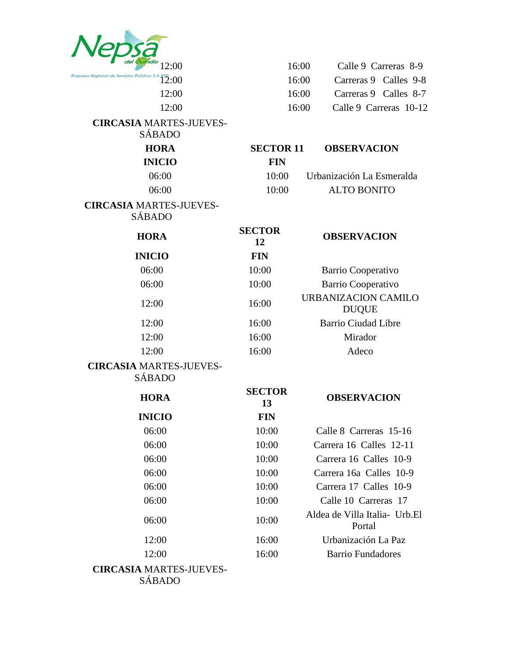| 12:00                                               |                     | 16:00 |                                            | Calle 9 Carreras 8-9   |
|-----------------------------------------------------|---------------------|-------|--------------------------------------------|------------------------|
| Empresa Regional de Servicios Públicos S.A<br>12:00 |                     | 16:00 |                                            | Carreras 9 Calles 9-8  |
| 12:00                                               |                     | 16:00 |                                            | Carreras 9 Calles 8-7  |
| 12:00                                               |                     | 16:00 |                                            | Calle 9 Carreras 10-12 |
| <b>CIRCASIA MARTES-JUEVES-</b><br><b>SÁBADO</b>     |                     |       |                                            |                        |
| <b>HORA</b>                                         | <b>SECTOR 11</b>    |       | <b>OBSERVACION</b>                         |                        |
| <b>INICIO</b>                                       | <b>FIN</b>          |       |                                            |                        |
| 06:00                                               | 10:00               |       | Urbanización La Esmeralda                  |                        |
| 06:00                                               | 10:00               |       | <b>ALTO BONITO</b>                         |                        |
| <b>CIRCASIA MARTES-JUEVES-</b><br><b>SÁBADO</b>     |                     |       |                                            |                        |
| <b>HORA</b>                                         | <b>SECTOR</b><br>12 |       | <b>OBSERVACION</b>                         |                        |
| <b>INICIO</b>                                       | <b>FIN</b>          |       |                                            |                        |
| 06:00                                               | 10:00               |       | Barrio Cooperativo                         |                        |
| 06:00                                               | 10:00               |       | Barrio Cooperativo                         |                        |
| 12:00                                               | 16:00               |       | <b>URBANIZACION CAMILO</b><br><b>DUQUE</b> |                        |
| 12:00                                               | 16:00               |       | <b>Barrio Ciudad Libre</b>                 |                        |
| 12:00                                               | 16:00               |       | Mirador                                    |                        |
| 12:00                                               | 16:00               |       | Adeco                                      |                        |
| <b>CIRCASIA MARTES-JUEVES-</b><br><b>SÁBADO</b>     |                     |       |                                            |                        |
| <b>HORA</b>                                         | <b>SECTOR</b><br>13 |       | <b>OBSERVACION</b>                         |                        |
| <b>INICIO</b>                                       | <b>FIN</b>          |       |                                            |                        |
| 06:00                                               | 10:00               |       | Calle 8 Carreras 15-16                     |                        |
| 06:00                                               | 10:00               |       | Carrera 16 Calles 12-11                    |                        |
| 06:00                                               | 10:00               |       | Carrera 16 Calles 10-9                     |                        |
| 06:00                                               | 10:00               |       | Carrera 16a Calles 10-9                    |                        |
| 06:00                                               | 10:00               |       | Carrera 17 Calles 10-9                     |                        |
| 06:00                                               | 10:00               |       | Calle 10 Carreras 17                       |                        |
| 06:00                                               | 10:00               |       | Aldea de Villa Italia - Urb. El<br>Portal  |                        |
| 12:00                                               | 16:00               |       | Urbanización La Paz                        |                        |
| 12:00                                               | 16:00               |       | <b>Barrio Fundadores</b>                   |                        |
| <b>CIRCASIA MARTES-JUEVES-</b><br><b>SÁBADO</b>     |                     |       |                                            |                        |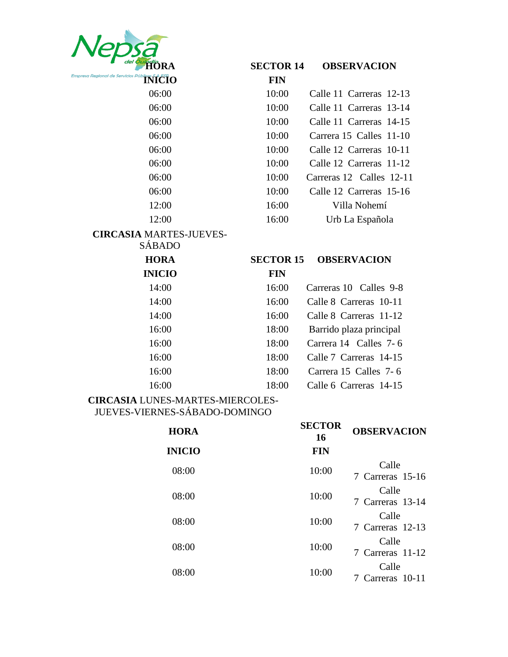| TORA                                                                           | <b>SECTOR 14</b> | <b>OBSERVACION</b>       |
|--------------------------------------------------------------------------------|------------------|--------------------------|
| Empresa Regional de Servicios Públicos $\mathfrak{sl}$ A $\mathfrak{K}$ El $0$ | <b>FIN</b>       |                          |
| 06:00                                                                          | 10:00            | Calle 11 Carreras 12-13  |
| 06:00                                                                          | 10:00            | Calle 11 Carreras 13-14  |
| 06:00                                                                          | 10:00            | Calle 11 Carreras 14-15  |
| 06:00                                                                          | 10:00            | Carrera 15 Calles 11-10  |
| 06:00                                                                          | 10:00            | Calle 12 Carreras 10-11  |
| 06:00                                                                          | 10:00            | Calle 12 Carreras 11-12  |
| 06:00                                                                          | 10:00            | Carreras 12 Calles 12-11 |
| 06:00                                                                          | 10:00            | Calle 12 Carreras 15-16  |
| 12:00                                                                          | 16:00            | Villa Nohemí             |
| 12:00                                                                          | 16:00            | Urb La Española          |
| <b>CIRCASIA MARTES-JUEVES-</b>                                                 |                  |                          |
| <b>SÁBADO</b>                                                                  |                  |                          |
| <b>HORA</b>                                                                    | <b>SECTOR 15</b> | <b>OBSERVACION</b>       |
| <b>INICIO</b>                                                                  | <b>FIN</b>       |                          |
| 14:00                                                                          | 16:00            | Carreras 10 Calles 9-8   |
| 14:00                                                                          | 16:00            | Calle 8 Carreras 10-11   |
| 14:00                                                                          | 16:00            | Calle 8 Carreras 11-12   |
| 16:00                                                                          | 18:00            | Barrido plaza principal  |
| 16:00                                                                          | 18:00            | Carrera 14 Calles 7-6    |
|                                                                                | 18:00            | Calle 7 Carreras 14-15   |
| 16:00                                                                          |                  |                          |
| 16:00                                                                          | 18:00            | Carrera 15 Calles 7-6    |

| <b>HORA</b>   | <b>SECTOR</b><br>16 | <b>OBSERVACION</b>        |
|---------------|---------------------|---------------------------|
| <b>INICIO</b> | <b>FIN</b>          |                           |
| 08:00         | 10:00               | Calle<br>7 Carreras 15-16 |
| 08:00         | 10:00               | Calle<br>7 Carreras 13-14 |
| 08:00         | 10:00               | Calle<br>7 Carreras 12-13 |
| 08:00         | 10:00               | Calle<br>7 Carreras 11-12 |
| 08:00         | 10:00               | Calle<br>Carreras 10-11   |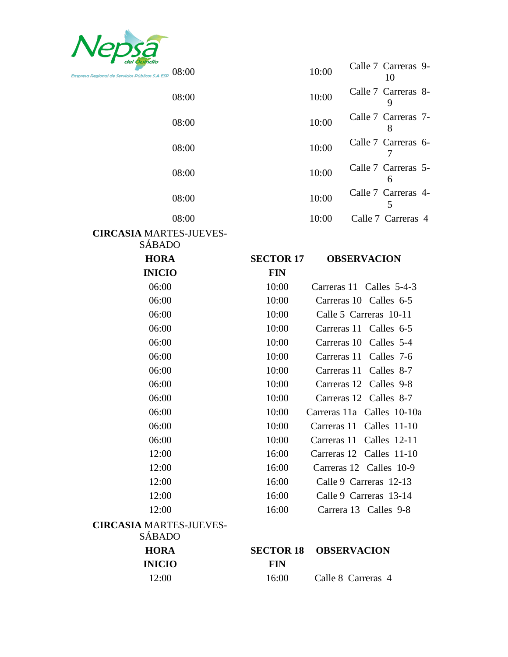

| del Quindio<br>Regional de Servicios Públicos S.A ESP $\;$ $08:00$ |                  | 10:00 | Calle 7 Carreras 9-<br>10  |
|--------------------------------------------------------------------|------------------|-------|----------------------------|
| 08:00                                                              |                  | 10:00 | Calle 7 Carreras 8-<br>9   |
| 08:00                                                              |                  | 10:00 | Calle 7 Carreras 7-<br>8   |
| 08:00                                                              |                  | 10:00 | Calle 7 Carreras 6-<br>7   |
| 08:00                                                              |                  | 10:00 | Calle 7 Carreras 5-<br>6   |
| 08:00                                                              |                  | 10:00 | Calle 7 Carreras 4-<br>5   |
| 08:00                                                              |                  | 10:00 | Calle 7 Carreras 4         |
| <b>CIRCASIA MARTES-JUEVES-</b>                                     |                  |       |                            |
| <b>SÁBADO</b>                                                      |                  |       |                            |
| <b>HORA</b>                                                        | <b>SECTOR 17</b> |       | <b>OBSERVACION</b>         |
| <b>INICIO</b>                                                      | <b>FIN</b>       |       |                            |
| 06:00                                                              | 10:00            |       | Carreras 11 Calles 5-4-3   |
| 06:00                                                              | 10:00            |       | Carreras 10 Calles 6-5     |
| 06:00                                                              | 10:00            |       | Calle 5 Carreras 10-11     |
| 06:00                                                              | 10:00            |       | Carreras 11 Calles 6-5     |
| 06:00                                                              | 10:00            |       | Carreras 10 Calles 5-4     |
| 06:00                                                              | 10:00            |       | Carreras 11 Calles 7-6     |
| 06:00                                                              | 10:00            |       | Carreras 11 Calles 8-7     |
| 06:00                                                              | 10:00            |       | Carreras 12 Calles 9-8     |
| 06:00                                                              | 10:00            |       | Carreras 12 Calles 8-7     |
| 06:00                                                              | 10:00            |       | Carreras 11a Calles 10-10a |
| 06:00                                                              | 10:00            |       | Carreras 11 Calles 11-10   |
| 06:00                                                              | 10:00            |       | Carreras 11 Calles 12-11   |
| 12:00                                                              | 16:00            |       | Carreras 12 Calles 11-10   |
| 12:00                                                              | 16:00            |       | Carreras 12 Calles 10-9    |
| 12:00                                                              | 16:00            |       | Calle 9 Carreras 12-13     |
| 12:00                                                              | 16:00            |       | Calle 9 Carreras 13-14     |
| 12:00                                                              | 16:00            |       | Carrera 13 Calles 9-8      |
| <b>CIRCASIA MARTES-JUEVES-</b><br><b>SÁBADO</b>                    |                  |       |                            |
| <b>HORA</b>                                                        | <b>SECTOR 18</b> |       | <b>OBSERVACION</b>         |
| <b>INICIO</b>                                                      | <b>FIN</b>       |       |                            |
| 12:00                                                              | 16:00            |       | Calle 8 Carreras 4         |